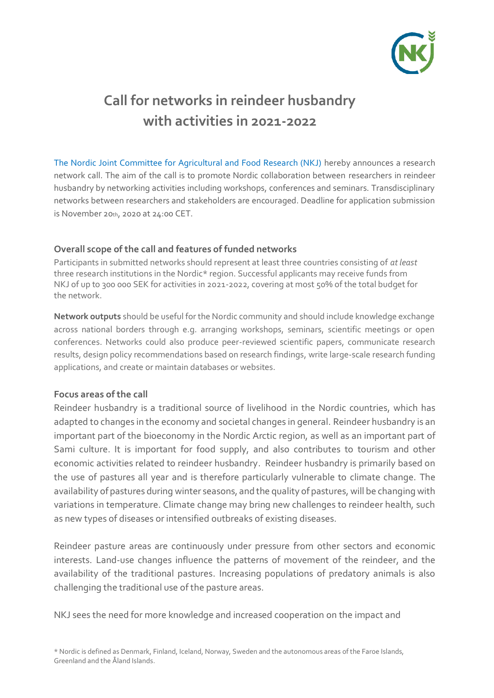

# **Call for networks in reindeer husbandry with activities in 2021-2022**

[The Nordic Joint Committee for Agricultural and Food Research \(NKJ\)](https://nordicagriresearch.org/) hereby announces a research network call. The aim of the call is to promote Nordic collaboration between researchers in reindeer husbandry by networking activities including workshops, conferences and seminars. Transdisciplinary networks between researchers and stakeholders are encouraged. Deadline for application submission is November 20th, 2020 at 24:00 CET.

#### **Overall scope of the call and features of funded networks**

Participants in submitted networks should represent at least three countries consisting of *at least* three research institutions in the Nordic\* region. Successful applicants may receive funds from NKJ of up to 300 000 SEK for activities in 2021-2022, covering at most 50% of the total budget for the network.

**Network outputs** should be useful for the Nordic community and should include knowledge exchange across national borders through e.g. arranging workshops, seminars, scientific meetings or open conferences. Networks could also produce peer-reviewed scientific papers, communicate research results, design policy recommendations based on research findings, write large-scale research funding applications, and create or maintain databases or websites.

#### **Focus areas of the call**

Reindeer husbandry is a traditional source of livelihood in the Nordic countries, which has adapted to changes in the economy and societal changes in general. Reindeer husbandry is an important part of the bioeconomy in the Nordic Arctic region, as well as an important part of Sami culture. It is important for food supply, and also contributes to tourism and other economic activities related to reindeer husbandry. Reindeer husbandry is primarily based on the use of pastures all year and is therefore particularly vulnerable to climate change. The availability of pastures during winter seasons, and the quality of pastures, will be changing with variations in temperature. Climate change may bring new challenges to reindeer health, such as new types of diseases or intensified outbreaks of existing diseases.

Reindeer pasture areas are continuously under pressure from other sectors and economic interests. Land-use changes influence the patterns of movement of the reindeer, and the availability of the traditional pastures. Increasing populations of predatory animals is also challenging the traditional use of the pasture areas.

NKJ sees the need for more knowledge and increased cooperation on the impact and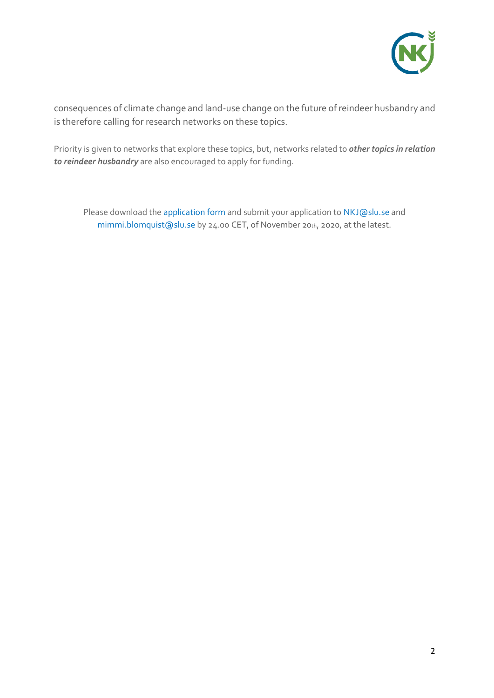

consequences of climate change and land-use change on the future of reindeer husbandry and is therefore calling for research networks on these topics.

Priority is given to networks that explore these topics, but, networks related to *other topics in relation to reindeer husbandry* are also encouraged to apply for funding.

Please download the [application form](https://nordicagriresearch.org/wp-content/uploads/2020/08/NKJ-Application-form.docx) and submit your application to [NKJ@slu.se](mailto:NKJ@slu.se) and [mimmi.blomquist@slu.se](mailto:mimmi.blomquist@slu.se) by 24.00 CET, of November 20th, 2020, at the latest.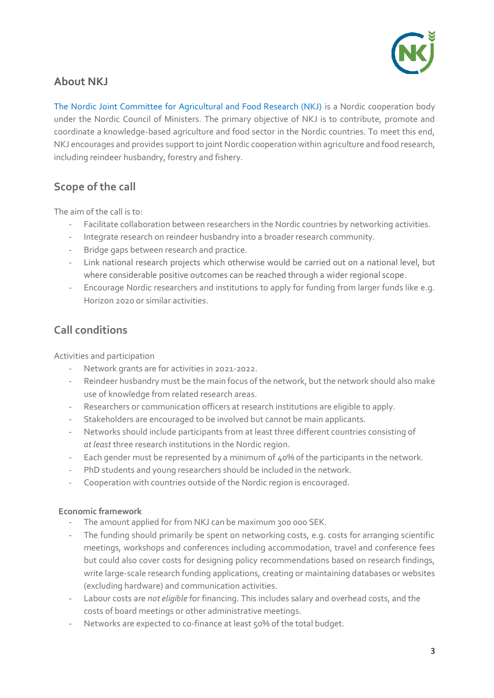

# **About NKJ**

[The Nordic Joint Committee for Agricultural and Food Research \(NKJ\)](https://nordicagriresearch.org/) is a Nordic cooperation body under the Nordic Council of Ministers. The primary objective of NKJ is to contribute, promote and coordinate a knowledge-based agriculture and food sector in the Nordic countries. To meet this end, NKJ encourages and provides support to joint Nordic cooperation within agriculture and food research, including reindeer husbandry, forestry and fishery.

# **Scope of the call**

The aim of the call is to:

- Facilitate collaboration between researchers in the Nordic countries by networking activities.
- Integrate research on reindeer husbandry into a broader research community.
- Bridge gaps between research and practice.
- Link national research projects which otherwise would be carried out on a national level, but where considerable positive outcomes can be reached through a wider regional scope.
- Encourage Nordic researchers and institutions to apply for funding from larger funds like e.g. Horizon 2020 or similar activities.

### **Call conditions**

Activities and participation

- Network grants are for activities in 2021-2022.
- Reindeer husbandry must be the main focus of the network, but the network should also make use of knowledge from related research areas.
- Researchers or communication officers at research institutions are eligible to apply.
- Stakeholders are encouraged to be involved but cannot be main applicants.
- Networks should include participants from at least three different countries consisting of *at least* three research institutions in the Nordic region.
- Each gender must be represented by a minimum of 40% of the participants in the network.
- PhD students and young researchers should be included in the network.
- Cooperation with countries outside of the Nordic region is encouraged.

#### **Economic framework**

- The amount applied for from NKJ can be maximum 300 000 SEK.
- The funding should primarily be spent on networking costs, e.g. costs for arranging scientific meetings, workshops and conferences including accommodation, travel and conference fees but could also cover costs for designing policy recommendations based on research findings, write large-scale research funding applications, creating or maintaining databases or websites (excluding hardware) and communication activities.
- Labour costs are *not eligible* for financing. This includes salary and overhead costs, and the costs of board meetings or other administrative meetings.
- Networks are expected to co-finance at least 50% of the total budget.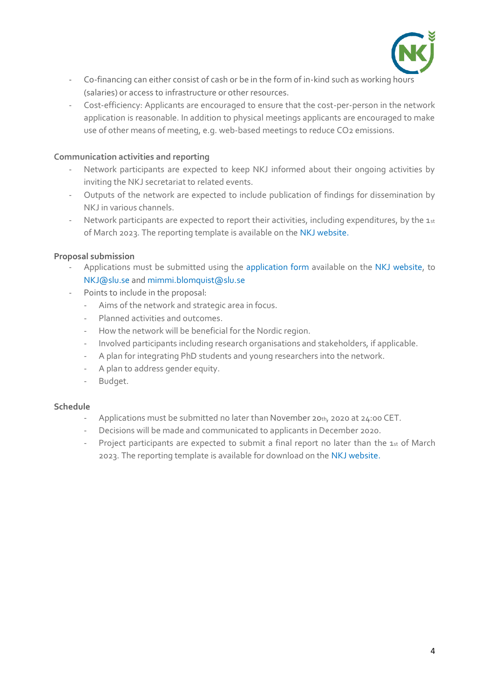

- Co-financing can either consist of cash or be in the form of in-kind such as working hours (salaries) or access to infrastructure or other resources.
- Cost-efficiency: Applicants are encouraged to ensure that the cost-per-person in the network application is reasonable. In addition to physical meetings applicants are encouraged to make use of other means of meeting, e.g. web-based meetings to reduce CO2 emissions.

#### **Communication activities and reporting**

- Network participants are expected to keep NKJ informed about their ongoing activities by inviting the NKJ secretariat to related events.
- Outputs of the network are expected to include publication of findings for dissemination by NKJ in various channels.
- Network participants are expected to report their activities, including expenditures, by the 1st of March 2023. The reporting template is available on th[e NKJ website.](https://nordicagriresearch.org/)

#### **Proposal submission**

- Applications must be submitted using the [application form](https://nordicagriresearch.org/wp-content/uploads/2020/08/NKJ-Application-form.docx) available on the [NKJ website,](https://nordicagriresearch.org/) to [NKJ@slu.se](mailto:NKJ@slu.se) and [mimmi.blomquist@slu.se](mailto:mimmi.blomquist@slu.se)
- Points to include in the proposal:
	- Aims of the network and strategic area in focus.
	- Planned activities and outcomes.
	- How the network will be beneficial for the Nordic region.
	- Involved participants including research organisations and stakeholders, if applicable.
	- A plan for integrating PhD students and young researchers into the network.
	- A plan to address gender equity.
	- Budget.

#### **Schedule**

- Applications must be submitted no later than November 20th, 2020 at 24:00 CET.
- Decisions will be made and communicated to applicants in December 2020.
- Project participants are expected to submit a final report no later than the 1st of March 2023. The reporting template is available for download on the [NKJ website.](https://nordicagriresearch.org/)